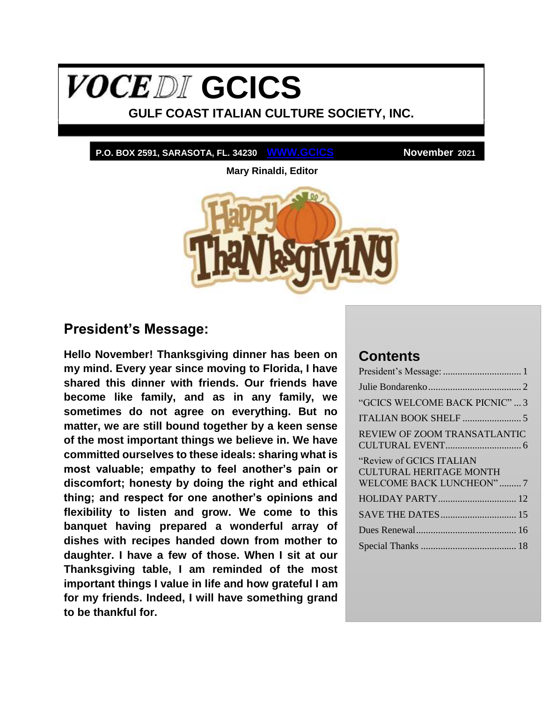# <span id="page-0-1"></span>**VOCEDI** GCICS

**GULF COAST ITALIAN CULTURE SOCIETY, INC.**

**P.O. BOX 2591, SARASOTA, FL. 34230 WWW.GCICS November 2021**

**Mary Rinaldi, Editor**



## <span id="page-0-0"></span>**President's Message:**

**Hello November! Thanksgiving dinner has been on my mind. Every year since moving to Florida, I have shared this dinner with friends. Our friends have become like family, and as in any family, we sometimes do not agree on everything. But no matter, we are still bound together by a keen sense of the most important things we believe in. We have committed ourselves to these ideals: sharing what is most valuable; empathy to feel another's pain or discomfort; honesty by doing the right and ethical thing; and respect for one another's opinions and flexibility to listen and grow. We come to this banquet having prepared a wonderful array of dishes with recipes handed down from mother to daughter. I have a few of those. When I sit at our Thanksgiving table, I am reminded of the most important things I value in life and how grateful I am for my friends. Indeed, I will have something grand to be thankful for.**

## **Contents**

| "GCICS WELCOME BACK PICNIC"  3                                                        |
|---------------------------------------------------------------------------------------|
|                                                                                       |
| REVIEW OF ZOOM TRANSATLANTIC                                                          |
| "Review of GCICS ITALIAN<br><b>CULTURAL HERITAGE MONTH</b><br>WELCOME BACK LUNCHEON"7 |
|                                                                                       |
|                                                                                       |
|                                                                                       |
|                                                                                       |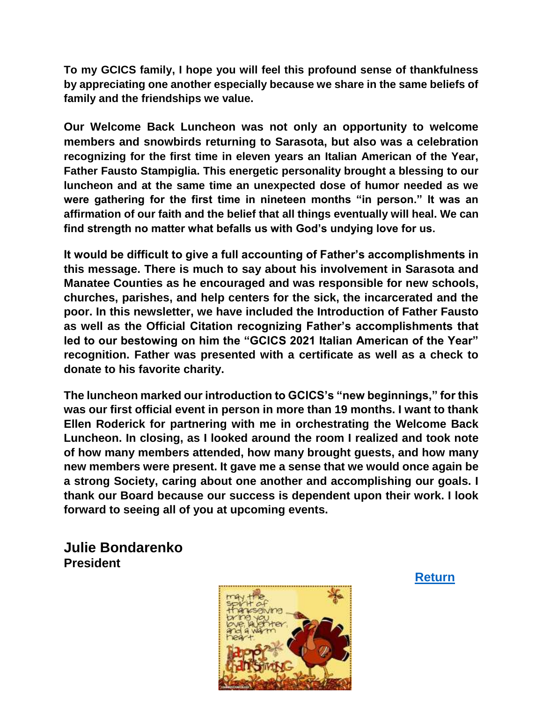**To my GCICS family, I hope you will feel this profound sense of thankfulness by appreciating one another especially because we share in the same beliefs of family and the friendships we value.**

**Our Welcome Back Luncheon was not only an opportunity to welcome members and snowbirds returning to Sarasota, but also was a celebration recognizing for the first time in eleven years an Italian American of the Year, Father Fausto Stampiglia. This energetic personality brought a blessing to our luncheon and at the same time an unexpected dose of humor needed as we were gathering for the first time in nineteen months "in person." It was an affirmation of our faith and the belief that all things eventually will heal. We can find strength no matter what befalls us with God's undying love for us.**

**It would be difficult to give a full accounting of Father's accomplishments in this message. There is much to say about his involvement in Sarasota and Manatee Counties as he encouraged and was responsible for new schools, churches, parishes, and help centers for the sick, the incarcerated and the poor. In this newsletter, we have included the Introduction of Father Fausto as well as the Official Citation recognizing Father's accomplishments that led to our bestowing on him the "GCICS 2021 Italian American of the Year" recognition. Father was presented with a certificate as well as a check to donate to his favorite charity.**

**The luncheon marked our introduction to GCICS's "new beginnings," for this was our first official event in person in more than 19 months. I want to thank Ellen Roderick for partnering with me in orchestrating the Welcome Back Luncheon. In closing, as I looked around the room I realized and took note of how many members attended, how many brought guests, and how many new members were present. It gave me a sense that we would once again be a strong Society, caring about one another and accomplishing our goals. I thank our Board because our success is dependent upon their work. I look forward to seeing all of you at upcoming events.**

<span id="page-1-0"></span>**Julie Bondarenko President**

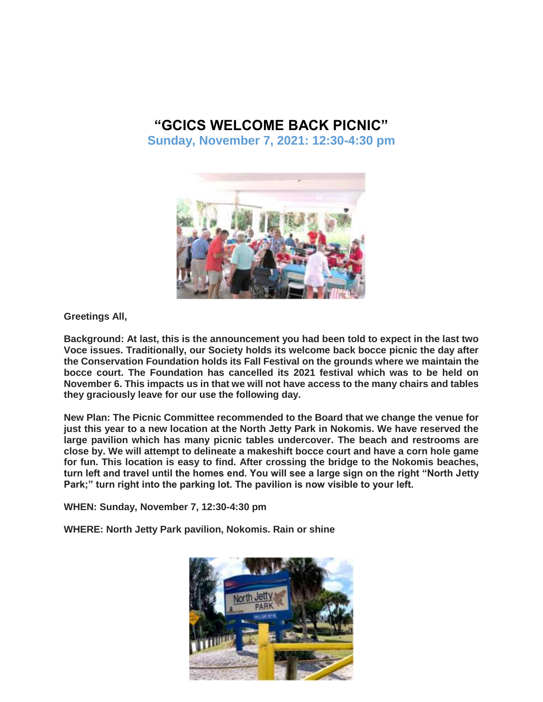## **"GCICS WELCOME BACK PICNIC"**

<span id="page-2-0"></span>**Sunday, November 7, 2021: 12:30-4:30 pm**



**Greetings All,**

**Background: At last, this is the announcement you had been told to expect in the last two Voce issues. Traditionally, our Society holds its welcome back bocce picnic the day after the Conservation Foundation holds its Fall Festival on the grounds where we maintain the bocce court. The Foundation has cancelled its 2021 festival which was to be held on November 6. This impacts us in that we will not have access to the many chairs and tables they graciously leave for our use the following day.**

**New Plan: The Picnic Committee recommended to the Board that we change the venue for just this year to a new location at the North Jetty Park in Nokomis. We have reserved the large pavilion which has many picnic tables undercover. The beach and restrooms are close by. We will attempt to delineate a makeshift bocce court and have a corn hole game for fun. This location is easy to find. After crossing the bridge to the Nokomis beaches, turn left and travel until the homes end. You will see a large sign on the right "North Jetty Park;" turn right into the parking lot. The pavilion is now visible to your left.**

**WHEN: Sunday, November 7, 12:30-4:30 pm**

**WHERE: North Jetty Park pavilion, Nokomis. Rain or shine**

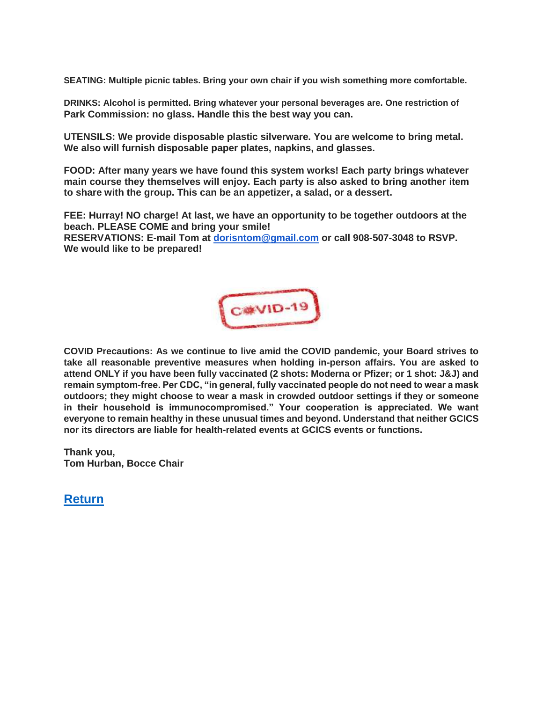**SEATING: Multiple picnic tables. Bring your own chair if you wish something more comfortable.**

**DRINKS: Alcohol is permitted. Bring whatever your personal beverages are. One restriction of Park Commission: no glass. Handle this the best way you can.**

**UTENSILS: We provide disposable plastic silverware. You are welcome to bring metal. We also will furnish disposable paper plates, napkins, and glasses.**

**FOOD: After many years we have found this system works! Each party brings whatever main course they themselves will enjoy. Each party is also asked to bring another item to share with the group. This can be an appetizer, a salad, or a dessert.**

**FEE: Hurray! NO charge! At last, we have an opportunity to be together outdoors at the beach. PLEASE COME and bring your smile!**

**RESERVATIONS: E-mail Tom at dorisntom@gmail.com or call 908-507-3048 to RSVP. We would like to be prepared!**



**COVID Precautions: As we continue to live amid the COVID pandemic, your Board strives to take all reasonable preventive measures when holding in-person affairs. You are asked to attend ONLY if you have been fully vaccinated (2 shots: Moderna or Pfizer; or 1 shot: J&J) and remain symptom-free. Per CDC, "in general, fully vaccinated people do not need to wear a mask outdoors; they might choose to wear a mask in crowded outdoor settings if they or someone in their household is immunocompromised." Your cooperation is appreciated. We want everyone to remain healthy in these unusual times and beyond. Understand that neither GCICS nor its directors are liable for health-related events at GCICS events or functions.**

**Thank you, Tom Hurban, Bocce Chair**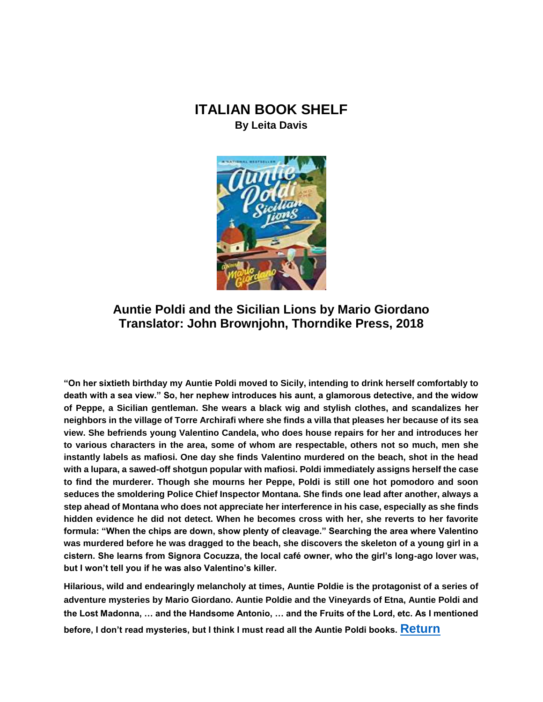## <span id="page-4-0"></span>**ITALIAN BOOK SHELF By Leita Davis**



### **Auntie Poldi and the Sicilian Lions by Mario Giordano Translator: John Brownjohn, Thorndike Press, 2018**

**"On her sixtieth birthday my Auntie Poldi moved to Sicily, intending to drink herself comfortably to death with a sea view." So, her nephew introduces his aunt, a glamorous detective, and the widow of Peppe, a Sicilian gentleman. She wears a black wig and stylish clothes, and scandalizes her neighbors in the village of Torre Archirafi where she finds a villa that pleases her because of its sea view. She befriends young Valentino Candela, who does house repairs for her and introduces her to various characters in the area, some of whom are respectable, others not so much, men she instantly labels as mafiosi. One day she finds Valentino murdered on the beach, shot in the head with a lupara, a sawed-off shotgun popular with mafiosi. Poldi immediately assigns herself the case to find the murderer. Though she mourns her Peppe, Poldi is still one hot pomodoro and soon seduces the smoldering Police Chief Inspector Montana. She finds one lead after another, always a step ahead of Montana who does not appreciate her interference in his case, especially as she finds hidden evidence he did not detect. When he becomes cross with her, she reverts to her favorite formula: "When the chips are down, show plenty of cleavage." Searching the area where Valentino was murdered before he was dragged to the beach, she discovers the skeleton of a young girl in a cistern. She learns from Signora Cocuzza, the local café owner, who the girl's long-ago lover was, but I won't tell you if he was also Valentino's killer.**

**Hilarious, wild and endearingly melancholy at times, Auntie Poldie is the protagonist of a series of adventure mysteries by Mario Giordano. Auntie Poldie and the Vineyards of Etna, Auntie Poldi and the Lost Madonna, … and the Handsome Antonio, … and the Fruits of the Lord, etc. As I mentioned before, I don't read mysteries, but I think I must read all the Auntie Poldi books. [Return](#page-0-1)**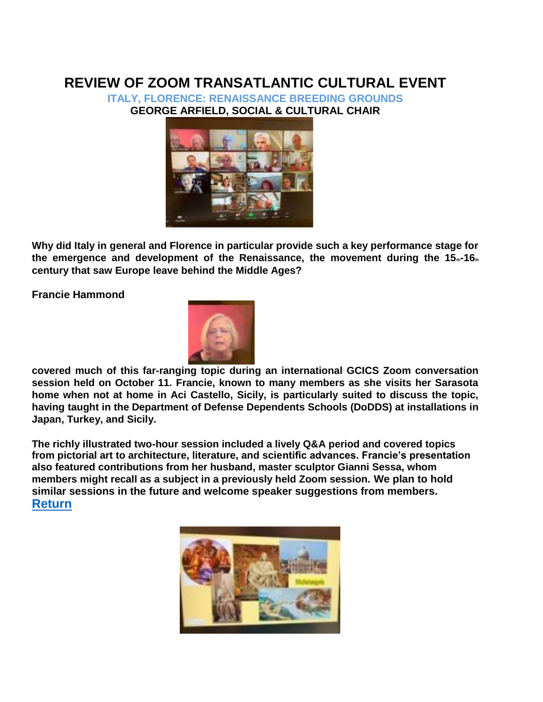## <span id="page-5-0"></span>**REVIEW OF ZOOM TRANSATLANTIC CULTURAL EVENT**

**ITALY, FLORENCE: RENAISSANCE BREEDING GROUNDS GEORGE ARFIELD, SOCIAL & CULTURAL CHAIR**



**Why did Italy in general and Florence in particular provide such a key performance stage for**  the emergence and development of the Renaissance, the movement during the 15<sub><sup>n-16<sub>th</sub></sub></sub></sup> **century that saw Europe leave behind the Middle Ages?**

**Francie Hammond**



**covered much of this far-ranging topic during an international GCICS Zoom conversation session held on October 11. Francie, known to many members as she visits her Sarasota home when not at home in Aci Castello, Sicily, is particularly suited to discuss the topic, having taught in the Department of Defense Dependents Schools (DoDDS) at installations in Japan, Turkey, and Sicily.**

**The richly illustrated two-hour session included a lively Q&A period and covered topics from pictorial art to architecture, literature, and scientific advances. Francie's presentation also featured contributions from her husband, master sculptor Gianni Sessa, whom members might recall as a subject in a previously held Zoom session. We plan to hold similar sessions in the future and welcome speaker suggestions from members. [Return](#page-0-1)**

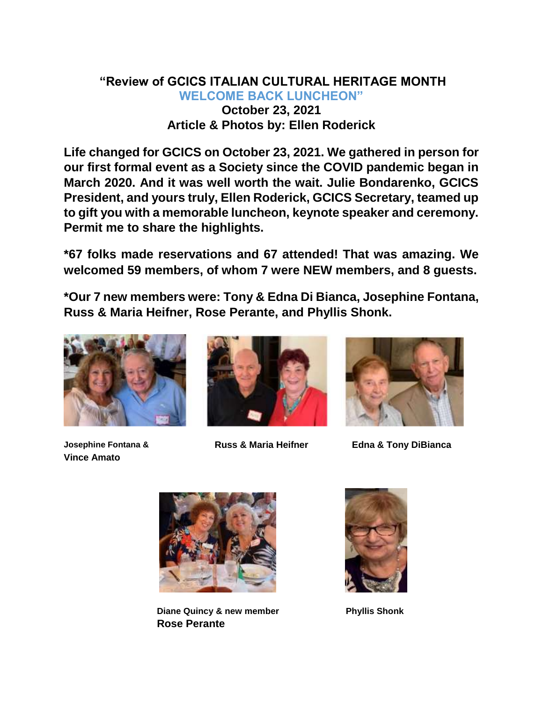## <span id="page-6-0"></span>**"Review of GCICS ITALIAN CULTURAL HERITAGE MONTH WELCOME BACK LUNCHEON" October 23, 2021 Article & Photos by: Ellen Roderick**

**Life changed for GCICS on October 23, 2021. We gathered in person for our first formal event as a Society since the COVID pandemic began in March 2020. And it was well worth the wait. Julie Bondarenko, GCICS President, and yours truly, Ellen Roderick, GCICS Secretary, teamed up to gift you with a memorable luncheon, keynote speaker and ceremony. Permit me to share the highlights.**

**\*67 folks made reservations and 67 attended! That was amazing. We welcomed 59 members, of whom 7 were NEW members, and 8 guests.**

**\*Our 7 new members were: Tony & Edna Di Bianca, Josephine Fontana, Russ & Maria Heifner, Rose Perante, and Phyllis Shonk.**



**Vince Amato**





**Josephine Fontana & Russ & Maria Heifner Edna & Tony DiBianca**



**Diane Quincy & new member Rose Perante**



**Phyllis Shonk**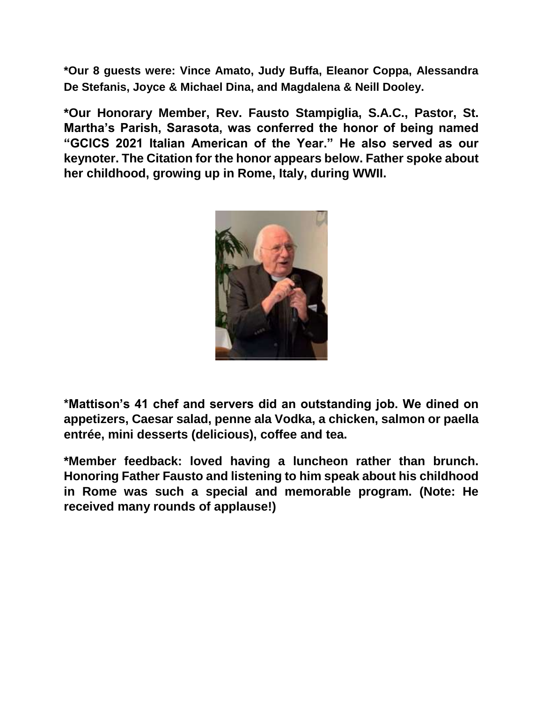**\*Our 8 guests were: Vince Amato, Judy Buffa, Eleanor Coppa, Alessandra De Stefanis, Joyce & Michael Dina, and Magdalena & Neill Dooley.**

**\*Our Honorary Member, Rev. Fausto Stampiglia, S.A.C., Pastor, St. Martha's Parish, Sarasota, was conferred the honor of being named "GCICS 2021 Italian American of the Year." He also served as our keynoter. The Citation for the honor appears below. Father spoke about her childhood, growing up in Rome, Italy, during WWII.**



**\*Mattison's 41 chef and servers did an outstanding job. We dined on appetizers, Caesar salad, penne ala Vodka, a chicken, salmon or paella entrée, mini desserts (delicious), coffee and tea.**

**\*Member feedback: loved having a luncheon rather than brunch. Honoring Father Fausto and listening to him speak about his childhood in Rome was such a special and memorable program. (Note: He received many rounds of applause!)**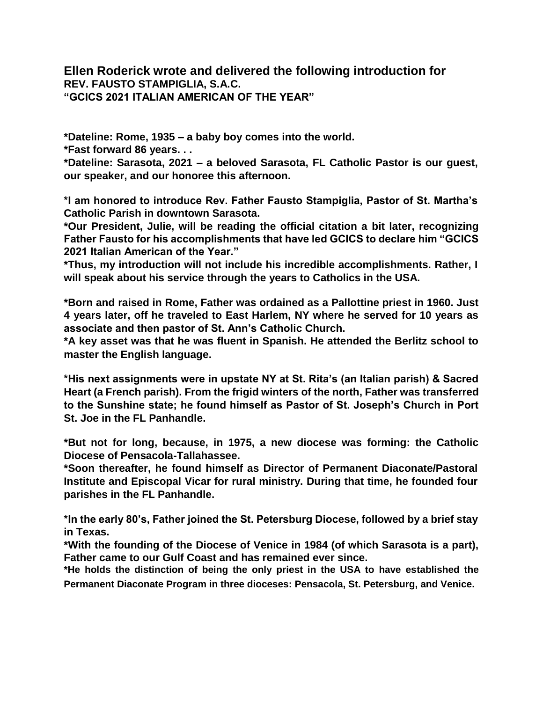**Ellen Roderick wrote and delivered the following introduction for REV. FAUSTO STAMPIGLIA, S.A.C. "GCICS 2021 ITALIAN AMERICAN OF THE YEAR"**

**\*Dateline: Rome, 1935 – a baby boy comes into the world.**

**\*Fast forward 86 years. . .**

**\*Dateline: Sarasota, 2021 – a beloved Sarasota, FL Catholic Pastor is our guest, our speaker, and our honoree this afternoon.**

**\*I am honored to introduce Rev. Father Fausto Stampiglia, Pastor of St. Martha's Catholic Parish in downtown Sarasota.**

**\*Our President, Julie, will be reading the official citation a bit later, recognizing Father Fausto for his accomplishments that have led GCICS to declare him "GCICS 2021 Italian American of the Year."**

**\*Thus, my introduction will not include his incredible accomplishments. Rather, I will speak about his service through the years to Catholics in the USA.**

**\*Born and raised in Rome, Father was ordained as a Pallottine priest in 1960. Just 4 years later, off he traveled to East Harlem, NY where he served for 10 years as associate and then pastor of St. Ann's Catholic Church.**

**\*A key asset was that he was fluent in Spanish. He attended the Berlitz school to master the English language.**

**\*His next assignments were in upstate NY at St. Rita's (an Italian parish) & Sacred Heart (a French parish). From the frigid winters of the north, Father was transferred to the Sunshine state; he found himself as Pastor of St. Joseph's Church in Port St. Joe in the FL Panhandle.**

**\*But not for long, because, in 1975, a new diocese was forming: the Catholic Diocese of Pensacola-Tallahassee.**

**\*Soon thereafter, he found himself as Director of Permanent Diaconate/Pastoral Institute and Episcopal Vicar for rural ministry. During that time, he founded four parishes in the FL Panhandle.**

**\*In the early 80's, Father joined the St. Petersburg Diocese, followed by a brief stay in Texas.**

**\*With the founding of the Diocese of Venice in 1984 (of which Sarasota is a part), Father came to our Gulf Coast and has remained ever since.**

**\*He holds the distinction of being the only priest in the USA to have established the Permanent Diaconate Program in three dioceses: Pensacola, St. Petersburg, and Venice.**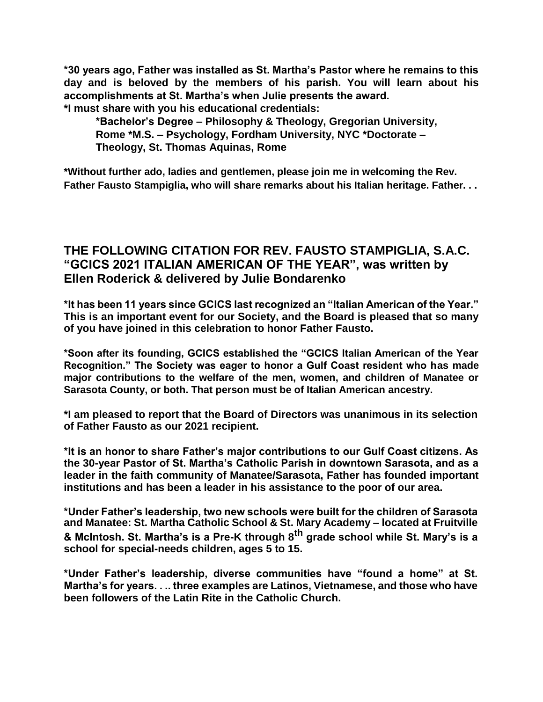**\*30 years ago, Father was installed as St. Martha's Pastor where he remains to this day and is beloved by the members of his parish. You will learn about his accomplishments at St. Martha's when Julie presents the award.**

**\*I must share with you his educational credentials:**

**\*Bachelor's Degree – Philosophy & Theology, Gregorian University, Rome \*M.S. – Psychology, Fordham University, NYC \*Doctorate – Theology, St. Thomas Aquinas, Rome**

**\*Without further ado, ladies and gentlemen, please join me in welcoming the Rev. Father Fausto Stampiglia, who will share remarks about his Italian heritage. Father. . .**

## **THE FOLLOWING CITATION FOR REV. FAUSTO STAMPIGLIA, S.A.C. "GCICS 2021 ITALIAN AMERICAN OF THE YEAR", was written by Ellen Roderick & delivered by Julie Bondarenko**

**\*It has been 11 years since GCICS last recognized an "Italian American of the Year." This is an important event for our Society, and the Board is pleased that so many of you have joined in this celebration to honor Father Fausto.**

**\*Soon after its founding, GCICS established the "GCICS Italian American of the Year Recognition." The Society was eager to honor a Gulf Coast resident who has made major contributions to the welfare of the men, women, and children of Manatee or Sarasota County, or both. That person must be of Italian American ancestry.**

**\*I am pleased to report that the Board of Directors was unanimous in its selection of Father Fausto as our 2021 recipient.**

**\*It is an honor to share Father's major contributions to our Gulf Coast citizens. As the 30-year Pastor of St. Martha's Catholic Parish in downtown Sarasota, and as a leader in the faith community of Manatee/Sarasota, Father has founded important institutions and has been a leader in his assistance to the poor of our area.**

**\*Under Father's leadership, two new schools were built for the children of Sarasota and Manatee: St. Martha Catholic School & St. Mary Academy – located at Fruitville & McIntosh. St. Martha's is a Pre-K through 8th grade school while St. Mary's is a school for special-needs children, ages 5 to 15.**

**\*Under Father's leadership, diverse communities have "found a home" at St. Martha's for years. . .. three examples are Latinos, Vietnamese, and those who have been followers of the Latin Rite in the Catholic Church.**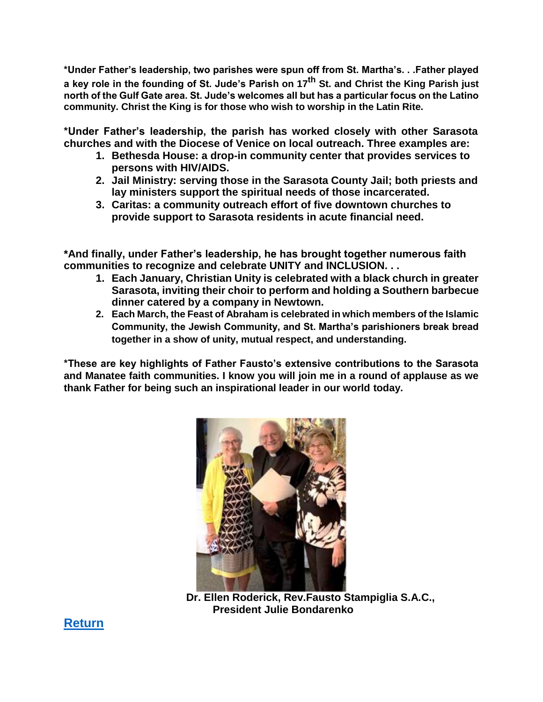**\*Under Father's leadership, two parishes were spun off from St. Martha's. . .Father played a key role in the founding of St. Jude's Parish on 17th St. and Christ the King Parish just north of the Gulf Gate area. St. Jude's welcomes all but has a particular focus on the Latino community. Christ the King is for those who wish to worship in the Latin Rite.**

**\*Under Father's leadership, the parish has worked closely with other Sarasota churches and with the Diocese of Venice on local outreach. Three examples are:**

- **1. Bethesda House: a drop-in community center that provides services to persons with HIV/AIDS.**
- **2. Jail Ministry: serving those in the Sarasota County Jail; both priests and lay ministers support the spiritual needs of those incarcerated.**
- **3. Caritas: a community outreach effort of five downtown churches to provide support to Sarasota residents in acute financial need.**

**\*And finally, under Father's leadership, he has brought together numerous faith communities to recognize and celebrate UNITY and INCLUSION. . .**

- **1. Each January, Christian Unity is celebrated with a black church in greater Sarasota, inviting their choir to perform and holding a Southern barbecue dinner catered by a company in Newtown.**
- **2. Each March, the Feast of Abraham is celebrated in which members of the Islamic Community, the Jewish Community, and St. Martha's parishioners break bread together in a show of unity, mutual respect, and understanding.**

**\*These are key highlights of Father Fausto's extensive contributions to the Sarasota and Manatee faith communities. I know you will join me in a round of applause as we thank Father for being such an inspirational leader in our world today.**



**Dr. Ellen Roderick, Rev.Fausto Stampiglia S.A.C., President Julie Bondarenko**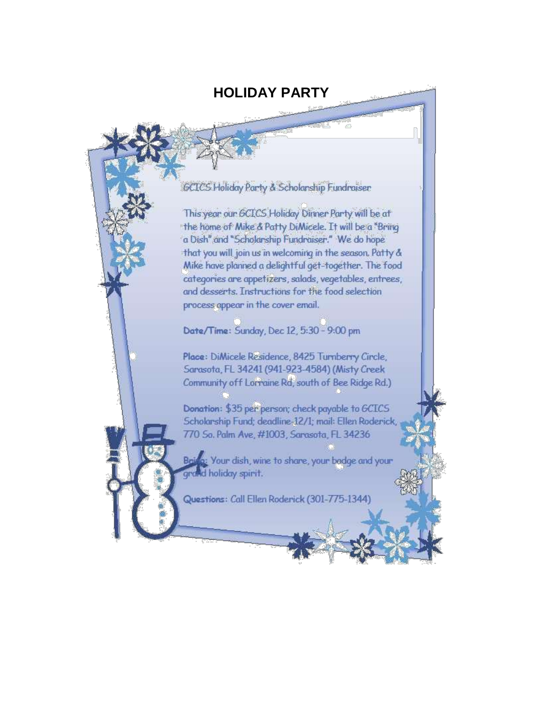## **HOLIDAY PARTY**

<span id="page-11-0"></span>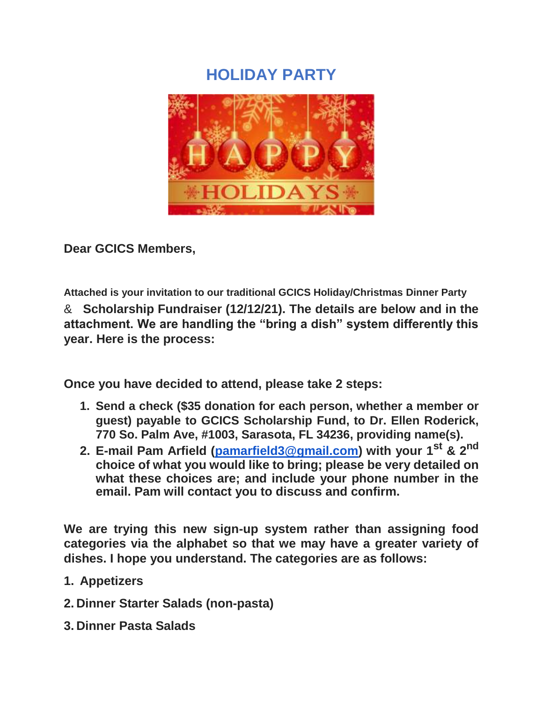# **HOLIDAY PARTY**



**Dear GCICS Members,**

**Attached is your invitation to our traditional GCICS Holiday/Christmas Dinner Party** & **Scholarship Fundraiser (12/12/21). The details are below and in the attachment. We are handling the "bring a dish" system differently this year. Here is the process:**

**Once you have decided to attend, please take 2 steps:**

- **1. Send a check (\$35 donation for each person, whether a member or guest) payable to GCICS Scholarship Fund, to Dr. Ellen Roderick, 770 So. Palm Ave, #1003, Sarasota, FL 34236, providing name(s).**
- **2. E-mail Pam Arfield (pamarfield3@gmail.com) with your 1st & 2nd choice of what you would like to bring; please be very detailed on what these choices are; and include your phone number in the email. Pam will contact you to discuss and confirm.**

**We are trying this new sign-up system rather than assigning food categories via the alphabet so that we may have a greater variety of dishes. I hope you understand. The categories are as follows:**

- **1. Appetizers**
- **2. Dinner Starter Salads (non-pasta)**
- **3. Dinner Pasta Salads**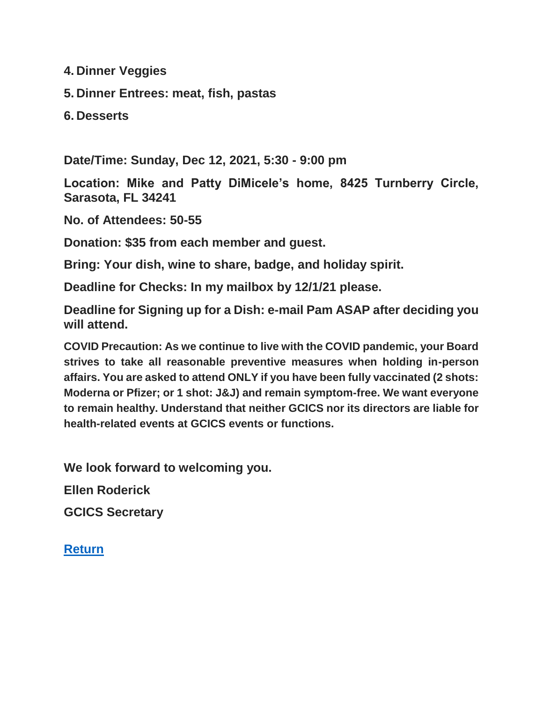**4. Dinner Veggies**

**5. Dinner Entrees: meat, fish, pastas**

**6. Desserts**

**Date/Time: Sunday, Dec 12, 2021, 5:30 - 9:00 pm**

**Location: Mike and Patty DiMicele's home, 8425 Turnberry Circle, Sarasota, FL 34241**

**No. of Attendees: 50-55**

**Donation: \$35 from each member and guest.**

**Bring: Your dish, wine to share, badge, and holiday spirit.**

**Deadline for Checks: In my mailbox by 12/1/21 please.**

**Deadline for Signing up for a Dish: e-mail Pam ASAP after deciding you will attend.**

**COVID Precaution: As we continue to live with the COVID pandemic, your Board strives to take all reasonable preventive measures when holding in-person affairs. You are asked to attend ONLY if you have been fully vaccinated (2 shots: Moderna or Pfizer; or 1 shot: J&J) and remain symptom-free. We want everyone to remain healthy. Understand that neither GCICS nor its directors are liable for health-related events at GCICS events or functions.**

**We look forward to welcoming you.**

**Ellen Roderick**

**GCICS Secretary**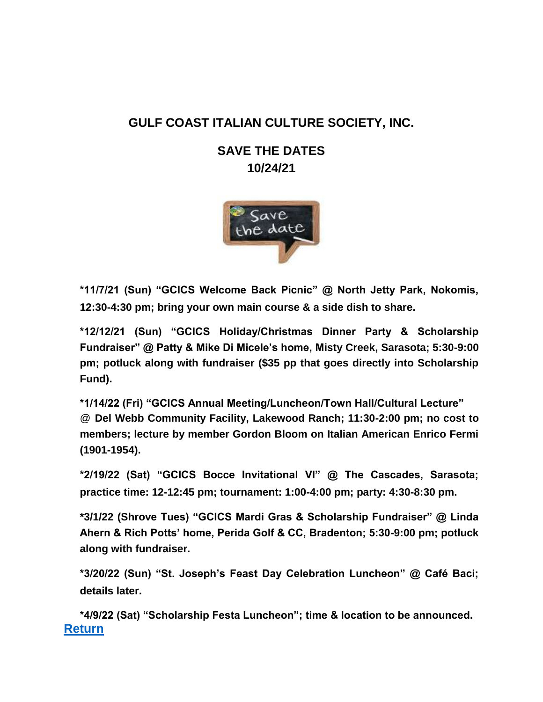## <span id="page-14-0"></span>**GULF COAST ITALIAN CULTURE SOCIETY, INC.**

## **SAVE THE DATES 10/24/21**



**\*11/7/21 (Sun) "GCICS Welcome Back Picnic" @ North Jetty Park, Nokomis, 12:30-4:30 pm; bring your own main course & a side dish to share.**

**\*12/12/21 (Sun) "GCICS Holiday/Christmas Dinner Party & Scholarship Fundraiser" @ Patty & Mike Di Micele's home, Misty Creek, Sarasota; 5:30-9:00 pm; potluck along with fundraiser (\$35 pp that goes directly into Scholarship Fund).**

**\*1/14/22 (Fri) "GCICS Annual Meeting/Luncheon/Town Hall/Cultural Lecture"** @ **Del Webb Community Facility, Lakewood Ranch; 11:30-2:00 pm; no cost to members; lecture by member Gordon Bloom on Italian American Enrico Fermi (1901-1954).**

**\*2/19/22 (Sat) "GCICS Bocce Invitational VI" @ The Cascades, Sarasota; practice time: 12-12:45 pm; tournament: 1:00-4:00 pm; party: 4:30-8:30 pm.**

**\*3/1/22 (Shrove Tues) "GCICS Mardi Gras & Scholarship Fundraiser" @ Linda Ahern & Rich Potts' home, Perida Golf & CC, Bradenton; 5:30-9:00 pm; potluck along with fundraiser.**

**\*3/20/22 (Sun) "St. Joseph's Feast Day Celebration Luncheon" @ Café Baci; details later.**

**\*4/9/22 (Sat) "Scholarship Festa Luncheon"; time & location to be announced. [Return](#page-0-1)**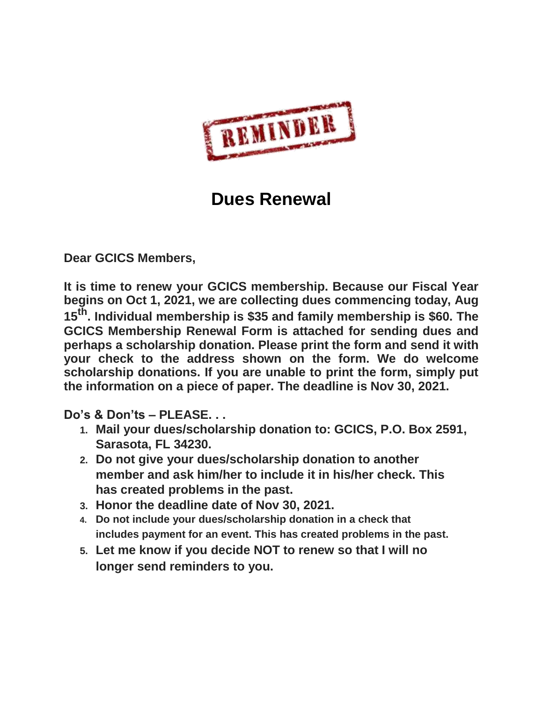

# **Dues Renewal**

<span id="page-15-0"></span>**Dear GCICS Members,**

**It is time to renew your GCICS membership. Because our Fiscal Year begins on Oct 1, 2021, we are collecting dues commencing today, Aug 15th. Individual membership is \$35 and family membership is \$60. The GCICS Membership Renewal Form is attached for sending dues and perhaps a scholarship donation. Please print the form and send it with your check to the address shown on the form. We do welcome scholarship donations. If you are unable to print the form, simply put the information on a piece of paper. The deadline is Nov 30, 2021.**

**Do's & Don'ts – PLEASE. . .**

- **1. Mail your dues/scholarship donation to: GCICS, P.O. Box 2591, Sarasota, FL 34230.**
- **2. Do not give your dues/scholarship donation to another member and ask him/her to include it in his/her check. This has created problems in the past.**
- **3. Honor the deadline date of Nov 30, 2021.**
- **4. Do not include your dues/scholarship donation in a check that includes payment for an event. This has created problems in the past.**
- **5. Let me know if you decide NOT to renew so that I will no longer send reminders to you.**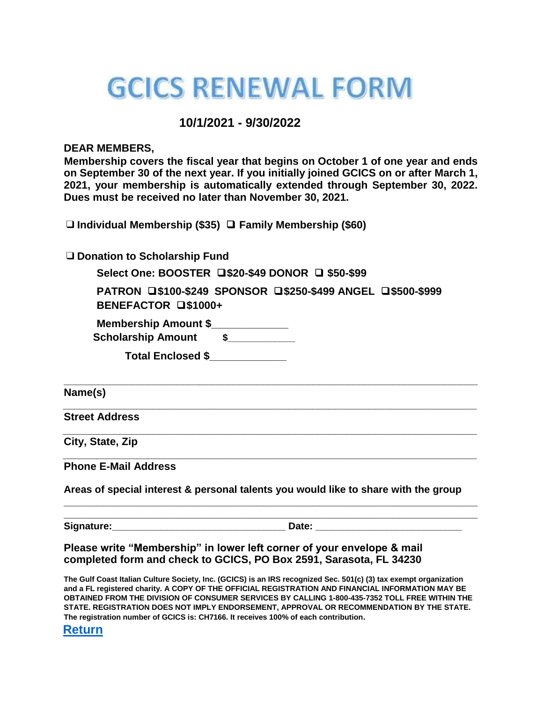# **GCICS RENEWAL FORM**

### **10/1/2021 - 9/30/2022**

#### **DEAR MEMBERS,**

**Membership covers the fiscal year that begins on October 1 of one year and ends on September 30 of the next year. If you initially joined GCICS on or after March 1, 2021, your membership is automatically extended through September 30, 2022. Dues must be received no later than November 30, 2021.**

❑**Individual Membership (\$35)** ❑ **Family Membership (\$60)**

❑**Donation to Scholarship Fund**

**Select One: BOOSTER** ❑**\$20-\$49 DONOR** ❑ **\$50-\$99**

**PATRON** ❑**\$100-\$249 SPONSOR** ❑**\$250-\$499 ANGEL** ❑**\$500-\$999 BENEFACTOR** ❑**\$1000+**

**\_\_\_\_\_\_\_\_\_\_\_\_\_\_\_\_\_\_\_\_\_\_\_\_\_\_\_\_\_\_\_\_\_\_\_\_\_\_\_\_\_\_\_\_\_\_\_\_\_\_\_\_\_\_\_\_\_\_\_\_\_\_\_\_\_\_\_\_\_\_\_\_\_**

**\_\_\_\_\_\_\_\_\_\_\_\_\_\_\_\_\_\_\_\_\_\_\_\_\_\_\_\_\_\_\_\_\_\_\_\_\_\_\_\_\_\_\_\_\_\_\_\_\_\_\_\_\_\_\_\_\_\_\_\_\_\_\_\_\_\_\_\_\_\_\_\_\_**

**\_\_\_\_\_\_\_\_\_\_\_\_\_\_\_\_\_\_\_\_\_\_\_\_\_\_\_\_\_\_\_\_\_\_\_\_\_\_\_\_\_\_\_\_\_\_\_\_\_\_\_\_\_\_\_\_\_\_\_\_\_\_\_\_\_\_\_\_\_\_\_\_\_**

**\_\_\_\_\_\_\_\_\_\_\_\_\_\_\_\_\_\_\_\_\_\_\_\_\_\_\_\_\_\_\_\_\_\_\_\_\_\_\_\_\_\_\_\_\_\_\_\_\_\_\_\_\_\_\_\_\_\_\_\_\_\_\_\_\_\_\_\_\_\_\_\_\_**

|     |  |  | <b>Membership Amount \$</b> |  |  |  |
|-----|--|--|-----------------------------|--|--|--|
| - - |  |  |                             |  |  |  |

| <b>Scholarship Amount</b> |  |
|---------------------------|--|
|---------------------------|--|

**Total Enclosed \$\_\_\_\_\_\_\_\_\_\_\_\_\_**

**Name(s)**

**Street Address**

**City, State, Zip**

**Phone E-Mail Address**

**Areas of special interest & personal talents you would like to share with the group**

**\_\_\_\_\_\_\_\_\_\_\_\_\_\_\_\_\_\_\_\_\_\_\_\_\_\_\_\_\_\_\_\_\_\_\_\_\_\_\_\_\_\_\_\_\_\_\_\_\_\_\_\_\_\_\_\_\_\_\_\_\_\_\_\_\_\_\_\_\_\_\_\_\_**

**\_\_\_\_\_\_\_\_\_\_\_\_\_\_\_\_\_\_\_\_\_\_\_\_\_\_\_\_\_\_\_\_\_\_\_\_\_\_\_\_\_\_\_\_\_\_\_\_\_\_\_\_\_\_\_\_\_\_\_\_\_\_\_\_\_\_\_\_\_\_\_\_\_** Signature: **Example 20 and 20 and 20 and 20 and 20 and 20 and 20 and 20 and 20 and 20 and 20 and 20 and 20 and 20 and 20 and 20 and 20 and 20 and 20 and 20 and 20 and 20 and 20 and 20 and 20 and 20 and 20 and 20 and 20 and** 

**Please write "Membership" in lower left corner of your envelope & mail completed form and check to GCICS, PO Box 2591, Sarasota, FL 34230**

**The Gulf Coast Italian Culture Society, Inc. (GCICS) is an IRS recognized Sec. 501(c) (3) tax exempt organization and a FL registered charity. A COPY OF THE OFFICIAL REGISTRATION AND FINANCIAL INFORMATION MAY BE OBTAINED FROM THE DIVISION OF CONSUMER SERVICES BY CALLING 1-800-435-7352 TOLL FREE WITHIN THE STATE. REGISTRATION DOES NOT IMPLY ENDORSEMENT, APPROVAL OR RECOMMENDATION BY THE STATE. The registration number of GCICS is: CH7166. It receives 100% of each contribution.**